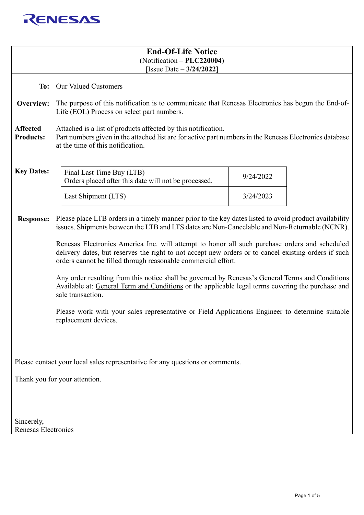

| <b>End-Of-Life Notice</b><br>$(Notification - PLC220004)$<br>[Issue Date $-3/24/2022$ ] |                                                                                                                                                                                                                                                                        |           |  |  |  |
|-----------------------------------------------------------------------------------------|------------------------------------------------------------------------------------------------------------------------------------------------------------------------------------------------------------------------------------------------------------------------|-----------|--|--|--|
|                                                                                         | To: Our Valued Customers                                                                                                                                                                                                                                               |           |  |  |  |
| Overview:                                                                               | The purpose of this notification is to communicate that Renesas Electronics has begun the End-of-<br>Life (EOL) Process on select part numbers.                                                                                                                        |           |  |  |  |
| <b>Affected</b><br><b>Products:</b>                                                     | Attached is a list of products affected by this notification.<br>Part numbers given in the attached list are for active part numbers in the Renesas Electronics database<br>at the time of this notification.                                                          |           |  |  |  |
| <b>Key Dates:</b>                                                                       | Final Last Time Buy (LTB)<br>Orders placed after this date will not be processed.                                                                                                                                                                                      | 9/24/2022 |  |  |  |
|                                                                                         | Last Shipment (LTS)                                                                                                                                                                                                                                                    | 3/24/2023 |  |  |  |
| <b>Response:</b>                                                                        | Please place LTB orders in a timely manner prior to the key dates listed to avoid product availability<br>issues. Shipments between the LTB and LTS dates are Non-Cancelable and Non-Returnable (NCNR).                                                                |           |  |  |  |
|                                                                                         | Renesas Electronics America Inc. will attempt to honor all such purchase orders and scheduled<br>delivery dates, but reserves the right to not accept new orders or to cancel existing orders if such<br>orders cannot be filled through reasonable commercial effort. |           |  |  |  |
|                                                                                         | Any order resulting from this notice shall be governed by Renesas's General Terms and Conditions<br>Available at: General Term and Conditions or the applicable legal terms covering the purchase and<br>sale transaction.                                             |           |  |  |  |
|                                                                                         | Please work with your sales representative or Field Applications Engineer to determine suitable<br>replacement devices.                                                                                                                                                |           |  |  |  |
|                                                                                         |                                                                                                                                                                                                                                                                        |           |  |  |  |
| Please contact your local sales representative for any questions or comments.           |                                                                                                                                                                                                                                                                        |           |  |  |  |
| Thank you for your attention.                                                           |                                                                                                                                                                                                                                                                        |           |  |  |  |
|                                                                                         |                                                                                                                                                                                                                                                                        |           |  |  |  |
| Sincerely,<br>Renesas Electronics                                                       |                                                                                                                                                                                                                                                                        |           |  |  |  |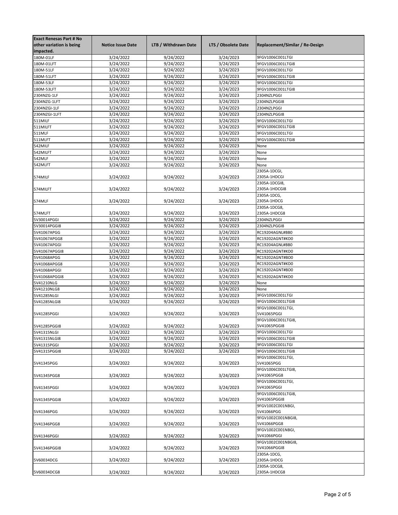| <b>Exact Renesas Part # No</b><br>other variation is being<br>impacted. | <b>Notice Issue Date</b> | LTB / Withdrawn Date | LTS / Obsolete Date | Replacement/Similar / Re-Design    |
|-------------------------------------------------------------------------|--------------------------|----------------------|---------------------|------------------------------------|
| 180M-01LF                                                               | 3/24/2022                | 9/24/2022            | 3/24/2023           | 9FGV1006C001LTGI                   |
| 180M-01LFT                                                              | 3/24/2022                | 9/24/2022            | 3/24/2023           | 9FGV1006C001LTGI8                  |
| 180M-51LF                                                               | 3/24/2022                | 9/24/2022            | 3/24/2023           | 9FGV1006C001LTGI                   |
| 180M-51LFT                                                              | 3/24/2022                | 9/24/2022            | 3/24/2023           | 9FGV1006C001LTGI8                  |
| 180M-53LF                                                               | 3/24/2022                | 9/24/2022            | 3/24/2023           | 9FGV1006C001LTGI                   |
| 180M-53LFT                                                              | 3/24/2022                | 9/24/2022            | 3/24/2023           | 9FGV1006C001LTGI8                  |
| 2304NZG-1LF                                                             | 3/24/2022                | 9/24/2022            | 3/24/2023           | 2304NZLPGGI                        |
| 2304NZG-1LFT                                                            | 3/24/2022                | 9/24/2022            | 3/24/2023           | 2304NZLPGGI8                       |
| 2304NZGI-1LF                                                            | 3/24/2022                | 9/24/2022            | 3/24/2023           | 2304NZLPGGI                        |
| 2304NZGI-1LFT                                                           | 3/24/2022                | 9/24/2022            | 3/24/2023           | 2304NZLPGGI8                       |
| 511MILF                                                                 | 3/24/2022                | 9/24/2022            | 3/24/2023           | 9FGV1006C001LTGI                   |
| 511MILFT                                                                | 3/24/2022                | 9/24/2022            | 3/24/2023           | 9FGV1006C001LTGI8                  |
| 511MLF                                                                  | 3/24/2022                | 9/24/2022            | 3/24/2023           | 9FGV1006C001LTGI                   |
| 511MLFT                                                                 | 3/24/2022                | 9/24/2022            | 3/24/2023           | 9FGV1006C001LTGI8                  |
| 542MILF                                                                 | 3/24/2022                | 9/24/2022            | 3/24/2023           | None                               |
| 542MILFT                                                                | 3/24/2022                | 9/24/2022            | 3/24/2023           | None                               |
| 542MLF                                                                  | 3/24/2022                | 9/24/2022            | 3/24/2023           | None                               |
| 542MLFT                                                                 | 3/24/2022                | 9/24/2022            | 3/24/2023           | None                               |
|                                                                         |                          |                      |                     | 2305A-1DCGI,                       |
| 574MILF                                                                 | 3/24/2022                | 9/24/2022            | 3/24/2023           | 2305A-1HDCGI                       |
| 574MILFT                                                                | 3/24/2022                | 9/24/2022            | 3/24/2023           | 2305A-1DCGI8,<br>2305A-1HDCGI8     |
|                                                                         |                          |                      |                     | 2305A-1DCG,                        |
| 574MLF                                                                  | 3/24/2022                | 9/24/2022            | 3/24/2023           | 2305A-1HDCG                        |
|                                                                         |                          |                      |                     | 2305A-1DCG8,                       |
| 574MLFT                                                                 | 3/24/2022                | 9/24/2022            | 3/24/2023           | 2305A-1HDCG8                       |
| 5V30014PGGI                                                             | 3/24/2022                | 9/24/2022            | 3/24/2023           | 2304NZLPGGI                        |
| 5V30014PGGI8                                                            | 3/24/2022                | 9/24/2022            | 3/24/2023           | 2304NZLPGGI8                       |
| 5V41067APGG                                                             | 3/24/2022                | 9/24/2022            | 3/24/2023           | RC19204AGNL#BB0                    |
| 5V41067APGG8                                                            | 3/24/2022                | 9/24/2022            | 3/24/2023           | RC19202AGNT#KD0                    |
| 5V41067APGGI                                                            | 3/24/2022                | 9/24/2022            | 3/24/2023           | RC19204AGNL#BB0                    |
| 5V41067APGGI8                                                           | 3/24/2022                | 9/24/2022            | 3/24/2023           | RC19202AGNT#KD0                    |
| 5V41068APGG                                                             | 3/24/2022                | 9/24/2022            | 3/24/2023           | RC19202AGNT#BD0                    |
| 5V41068APGG8                                                            | 3/24/2022                | 9/24/2022            | 3/24/2023           | RC19202AGNT#KD0                    |
| 5V41068APGGI                                                            | 3/24/2022                | 9/24/2022            | 3/24/2023           | RC19202AGNT#BD0                    |
| 5V41068APGGI8                                                           | 3/24/2022                | 9/24/2022            | 3/24/2023           | RC19202AGNT#KD0                    |
| 5V41210NLG                                                              | 3/24/2022                | 9/24/2022            | 3/24/2023           | None                               |
| 5V41210NLG8                                                             | 3/24/2022                | 9/24/2022            | 3/24/2023           | None                               |
| 5V41285NLGI                                                             | 3/24/2022                | 9/24/2022            | 3/24/2023           | 9FGV1006C001LTGI                   |
| 5V41285NLGI8                                                            | $\frac{1}{3/24/2022}$    | 9/24/2022            | 3/24/2023           | 9FGV1006C001LTGI8                  |
|                                                                         |                          |                      |                     | 9FGV1006C001LTGI,                  |
| 5V41285PGGI                                                             | 3/24/2022                | 9/24/2022            | 3/24/2023           | 5V41065PGGI                        |
| 5V41285PGGI8                                                            | 3/24/2022                | 9/24/2022            | 3/24/2023           | 9FGV1006C001LTGI8,<br>5V41065PGGI8 |
| 5V41315NLGI                                                             | 3/24/2022                | 9/24/2022            | 3/24/2023           | 9FGV1006C001LTGI                   |
| 5V41315NLGI8                                                            | 3/24/2022                | 9/24/2022            | 3/24/2023           | 9FGV1006C001LTGI8                  |
| 5V41315PGGI                                                             | 3/24/2022                | 9/24/2022            | 3/24/2023           | 9FGV1006C001LTGI                   |
| 5V41315PGGI8                                                            | 3/24/2022                | 9/24/2022            | 3/24/2023           | 9FGV1006C001LTGI8                  |
|                                                                         |                          |                      |                     | 9FGV1006C001LTGI,                  |
| 5V41345PGG                                                              | 3/24/2022                | 9/24/2022            | 3/24/2023           | 5V41065PGG                         |
| 5V41345PGG8                                                             | 3/24/2022                | 9/24/2022            | 3/24/2023           | 9FGV1006C001LTGI8,<br>5V41065PGG8  |
|                                                                         |                          |                      |                     | 9FGV1006C001LTGI,                  |
| 5V41345PGGI                                                             | 3/24/2022                | 9/24/2022            | 3/24/2023           | 5V41065PGGI                        |
| 5V41345PGGI8                                                            | 3/24/2022                | 9/24/2022            | 3/24/2023           | 9FGV1006C001LTGI8,<br>5V41065PGGI8 |
| 5V41346PGG                                                              | 3/24/2022                | 9/24/2022            | 3/24/2023           | 9FGV1002C001NBGI,<br>5V41066PGG    |
| 5V41346PGG8                                                             | 3/24/2022                | 9/24/2022            | 3/24/2023           | 9FGV1002C001NBGI8,<br>5V41066PGG8  |
|                                                                         |                          |                      |                     | 9FGV1002C001NBGI,<br>5V41066PGGI   |
| 5V41346PGGI                                                             | 3/24/2022                | 9/24/2022            | 3/24/2023           | 9FGV1002C001NBGI8,                 |
| 5V41346PGGI8                                                            | 3/24/2022                | 9/24/2022            | 3/24/2023           | 5V41066PGGI8                       |
| 5V60034DCG                                                              | 3/24/2022                | 9/24/2022            | 3/24/2023           | 2305A-1DCG,<br>2305A-1HDCG         |
|                                                                         |                          |                      |                     | 2305A-1DCG8,                       |
| 5V60034DCG8                                                             | 3/24/2022                | 9/24/2022            | 3/24/2023           | 2305A-1HDCG8                       |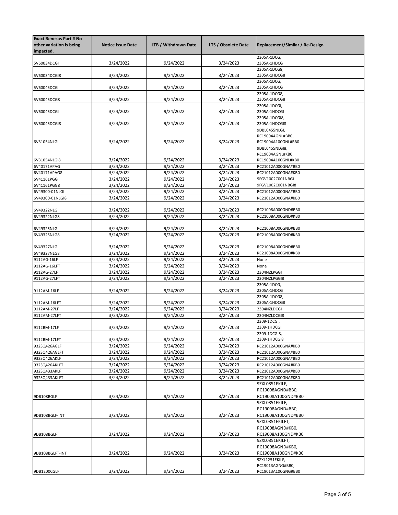| <b>Exact Renesas Part # No</b><br>other variation is being<br>impacted. | <b>Notice Issue Date</b> | LTB / Withdrawn Date   | LTS / Obsolete Date    | Replacement/Similar / Re-Design        |
|-------------------------------------------------------------------------|--------------------------|------------------------|------------------------|----------------------------------------|
| 5V60034DCGI                                                             | 3/24/2022                | 9/24/2022              | 3/24/2023              | 2305A-1DCG,<br>2305A-1HDCG             |
|                                                                         |                          |                        |                        | 2305A-1DCG8,                           |
| 5V60034DCGI8                                                            | 3/24/2022                | 9/24/2022              | 3/24/2023              | 2305A-1HDCG8                           |
| 5V60045DCG                                                              | 3/24/2022                | 9/24/2022              | 3/24/2023              | 2305A-1DCG,<br>2305A-1HDCG             |
| 5V60045DCG8                                                             | 3/24/2022                | 9/24/2022              | 3/24/2023              | 2305A-1DCG8,<br>2305A-1HDCG8           |
| 5V60045DCGI                                                             | 3/24/2022                | 9/24/2022              | 3/24/2023              | 2305A-1DCGI,<br>2305A-1HDCGI           |
|                                                                         |                          |                        |                        | 2305A-1DCGI8,                          |
| 5V60045DCGI8                                                            | 3/24/2022                | 9/24/2022              | 3/24/2023              | 2305A-1HDCGI8<br>9DBL0455NLGI,         |
| 6V31054NLGI                                                             | 3/24/2022                | 9/24/2022              | 3/24/2023              | RC19004AGNL#BB0,<br>RC19004A100GNL#BB0 |
|                                                                         |                          |                        |                        | 9DBL0455NLGI8,                         |
| 6V31054NLGI8                                                            | 3/24/2022                | 9/24/2022              | 3/24/2023              | RC19004AGNL#KB0,<br>RC19004A100GNL#KB0 |
| 6V40171APAG                                                             | 3/24/2022                | 9/24/2022              | 3/24/2023              | RC21012A000GNA#BB0                     |
| 6V40171APAG8                                                            | 3/24/2022                | 9/24/2022              | 3/24/2023              | RC21012A000GNA#KB0                     |
| 6V41161PGG                                                              | 3/24/2022                | 9/24/2022              | 3/24/2023              | 9FGV1002C001NBGI                       |
| 6V41161PGG8                                                             | 3/24/2022                | 9/24/2022              | 3/24/2023              | 9FGV1002C001NBGI8                      |
| 6V49300-01NLGI                                                          | 3/24/2022                | 9/24/2022              | 3/24/2023              | RC21012A000GNA#BB0                     |
| 6V49300-01NLGI8                                                         | 3/24/2022                | 9/24/2022              | 3/24/2023              | RC21012A000GNA#KB0                     |
| 6V49322NLG                                                              | 3/24/2022                | 9/24/2022              | 3/24/2023              | RC21008A000GND#BB0                     |
| 6V49322NLG8                                                             | 3/24/2022                | 9/24/2022              | 3/24/2023              | RC21008A000GND#KB0                     |
|                                                                         | 3/24/2022                | 9/24/2022              | 3/24/2023              | RC21008A000GND#BB0                     |
| 6V49325NLG<br>6V49325NLG8                                               | 3/24/2022                | 9/24/2022              | 3/24/2023              | RC21008A000GND#KB0                     |
| 6V49327NLG                                                              | 3/24/2022                | 9/24/2022              | 3/24/2023              | RC21008A000GND#BB0                     |
| 6V49327NLG8                                                             | 3/24/2022                | 9/24/2022              | 3/24/2023              | RC21008A000GND#KB0                     |
| 9112AG-16LF                                                             | 3/24/2022                | 9/24/2022              | 3/24/2023              | None                                   |
| 9112AG-16LFT                                                            | 3/24/2022                | 9/24/2022              | 3/24/2023              | None                                   |
| 9112AG-27LF                                                             | 3/24/2022                | 9/24/2022              | 3/24/2023              | 2304NZLPGGI                            |
| 9112AG-27LFT                                                            | 3/24/2022                | 9/24/2022              | 3/24/2023              | 2304NZLPGGI8                           |
| 9112AM-16LF                                                             | 3/24/2022                | 9/24/2022              | 3/24/2023              | 2305A-1DCG,<br>2305A-1HDCG             |
|                                                                         |                          |                        |                        | 2305A-1DCG8,                           |
| 9112AM-16LFT<br>9112AM-27LF                                             | 3/24/2022<br>3/24/2022   | 9/24/2022<br>9/24/2022 | 3/24/2023<br>3/24/2023 | 2305A-1HDCG8<br>2304NZLDCGI            |
| 9112AM-27LFT                                                            | 3/24/2022                | 9/24/2022              | 3/24/2023              | 2304NZLDCGI8                           |
|                                                                         |                          | 9/24/2022              | 3/24/2023              | 2309-1DCGI,                            |
| 9112BM-17LF                                                             | 3/24/2022                |                        |                        | 2309-1HDCGI<br>2309-1DCGI8,            |
| 9112BM-17LFT                                                            | 3/24/2022                | 9/24/2022              | 3/24/2023              | 2309-1HDCGI8                           |
| 932SQ426AGLF                                                            | 3/24/2022                | 9/24/2022              | 3/24/2023              | RC21012A000GNA#KB0                     |
| 932SQ426AGLFT                                                           | 3/24/2022                | 9/24/2022              | 3/24/2023              | RC21012A000GNA#BB0                     |
| 932SQ426AKLF                                                            | 3/24/2022                | 9/24/2022              | 3/24/2023              | RC21012A000GNA#BB0                     |
| 932SQ426AKLFT                                                           | 3/24/2022                | 9/24/2022              | 3/24/2023              | RC21012A000GNA#KB0                     |
| 932SQ433AKLF                                                            | 3/24/2022                | 9/24/2022              | 3/24/2023              | RC21012A000GNA#BB0                     |
| 932SQ433AKLFT                                                           | 3/24/2022                | 9/24/2022              | 3/24/2023              | RC21012A000GNA#KB0                     |
|                                                                         |                          |                        |                        | 9ZXL0851EKILF,                         |
|                                                                         |                          |                        |                        | RC19008AGND#BB0,                       |
| 9DB108BGLF                                                              | 3/24/2022                | 9/24/2022              | 3/24/2023              | RC19008A100GND#BB0<br>9ZXL0851EKILF,   |
|                                                                         |                          |                        |                        | RC19008AGND#BB0,                       |
| 9DB108BGLF-INT                                                          | 3/24/2022                | 9/24/2022              | 3/24/2023              | RC19008A100GND#BB0                     |
|                                                                         |                          |                        |                        | 9ZXL0851EKILFT,                        |
|                                                                         |                          |                        |                        | RC19008AGND#KB0,                       |
| 9DB108BGLFT                                                             | 3/24/2022                | 9/24/2022              | 3/24/2023              | RC19008A100GND#KB0                     |
|                                                                         |                          |                        |                        | 9ZXL0851EKILFT,                        |
|                                                                         |                          |                        |                        | RC19008AGND#KB0,                       |
| 9DB108BGLFT-INT                                                         | 3/24/2022                | 9/24/2022              | 3/24/2023              | RC19008A100GND#KB0                     |
|                                                                         |                          |                        |                        | 9ZXL1251EKILF,                         |
| 9DB1200CGLF                                                             | 3/24/2022                | 9/24/2022              | 3/24/2023              | RC19013AGNG#BB0,<br>RC19013A100GNG#BB0 |
|                                                                         |                          |                        |                        |                                        |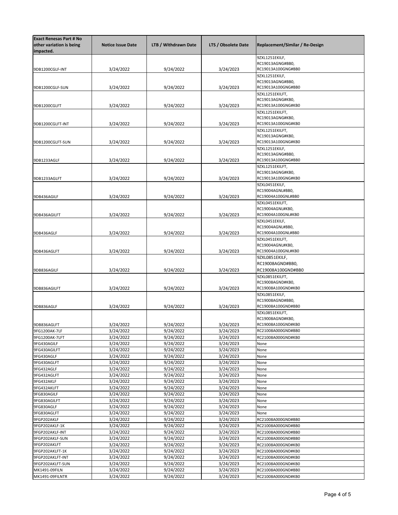| <b>Exact Renesas Part # No</b><br>other variation is being<br>impacted. | <b>Notice Issue Date</b> | LTB / Withdrawn Date | LTS / Obsolete Date | Replacement/Similar / Re-Design        |
|-------------------------------------------------------------------------|--------------------------|----------------------|---------------------|----------------------------------------|
|                                                                         |                          |                      |                     | 9ZXL1251EKILF,                         |
|                                                                         |                          |                      |                     | RC19013AGNG#BB0,                       |
| 9DB1200CGLF-INT                                                         | 3/24/2022                | 9/24/2022            | 3/24/2023           | RC19013A100GNG#BB0                     |
|                                                                         |                          |                      |                     | 9ZXL1251EKILF,                         |
|                                                                         |                          |                      |                     | RC19013AGNG#BB0,                       |
| 9DB1200CGLF-SUN                                                         | 3/24/2022                | 9/24/2022            | 3/24/2023           | RC19013A100GNG#BB0                     |
|                                                                         |                          |                      |                     | 9ZXL1251EKILFT,<br>RC19013AGNG#KB0,    |
| 9DB1200CGLFT                                                            | 3/24/2022                | 9/24/2022            | 3/24/2023           | RC19013A100GNG#KB0                     |
|                                                                         |                          |                      |                     | 9ZXL1251EKILFT,                        |
|                                                                         |                          |                      |                     | RC19013AGNG#KB0,                       |
| 9DB1200CGLFT-INT                                                        | 3/24/2022                | 9/24/2022            | 3/24/2023           | RC19013A100GNG#KB0                     |
|                                                                         |                          |                      |                     | 9ZXL1251EKILFT,                        |
|                                                                         |                          |                      |                     | RC19013AGNG#KB0,                       |
| 9DB1200CGLFT-SUN                                                        | 3/24/2022                | 9/24/2022            | 3/24/2023           | RC19013A100GNG#KB0                     |
|                                                                         |                          |                      |                     | 9ZXL1251EKILF,                         |
|                                                                         |                          |                      |                     | RC19013AGNG#BB0,                       |
| 9DB1233AGLF                                                             | 3/24/2022                | 9/24/2022            | 3/24/2023           | RC19013A100GNG#BB0                     |
|                                                                         |                          |                      |                     | 9ZXL1251EKILFT,                        |
|                                                                         |                          |                      |                     | RC19013AGNG#KB0,<br>RC19013A100GNG#KB0 |
| 9DB1233AGLFT                                                            | 3/24/2022                | 9/24/2022            | 3/24/2023           |                                        |
|                                                                         |                          |                      |                     | 9ZXL0451EKILF,                         |
|                                                                         | 3/24/2022                |                      | 3/24/2023           | RC19004AGNL#BB0,<br>RC19004A100GNL#BB0 |
| 9DB436AGILF                                                             |                          | 9/24/2022            |                     |                                        |
|                                                                         |                          |                      |                     | 9ZXL0451EKILFT,<br>RC19004AGNL#KB0,    |
| 9DB436AGILFT                                                            | 3/24/2022                | 9/24/2022            | 3/24/2023           | RC19004A100GNL#KB0                     |
|                                                                         |                          |                      |                     | 9ZXL0451EKILF,                         |
|                                                                         |                          |                      |                     | RC19004AGNL#BB0,                       |
| 9DB436AGLF                                                              | 3/24/2022                | 9/24/2022            | 3/24/2023           | RC19004A100GNL#BB0                     |
|                                                                         |                          |                      |                     | 9ZXL0451EKILFT,                        |
|                                                                         |                          |                      |                     | RC19004AGNL#KB0,                       |
| 9DB436AGLFT                                                             | 3/24/2022                | 9/24/2022            | 3/24/2023           | RC19004A100GNL#KB0                     |
|                                                                         |                          |                      |                     | 9ZXL0851EKILF,                         |
|                                                                         |                          |                      |                     | RC19008AGND#BB0,                       |
| 9DB836AGILF                                                             | 3/24/2022                | 9/24/2022            | 3/24/2023           | RC19008A100GND#BB0                     |
|                                                                         |                          |                      |                     | 9ZXL0851EKILFT,                        |
|                                                                         |                          |                      |                     | RC19008AGND#KB0,                       |
| 9DB836AGILFT                                                            | 3/24/2022                | 9/24/2022            | 3/24/2023           | RC19008A100GND#KB0                     |
|                                                                         |                          |                      |                     | 9ZXL0851EKILF,                         |
|                                                                         |                          |                      |                     | RC19008AGND#BB0,                       |
| 9DB836AGLF                                                              | 3/24/2022                | 9/24/2022            | 3/24/2023           | RC19008A100GND#BB0                     |
|                                                                         |                          |                      |                     | 9ZXL0851EKILFT,                        |
|                                                                         |                          |                      |                     | RC19008AGND#KB0,                       |
| 9DB836AGLFT                                                             | 3/24/2022                | 9/24/2022            | 3/24/2023           | RC19008A100GND#KB0                     |
| 9FG1200AK-7LF                                                           | 3/24/2022                | 9/24/2022            | 3/24/2023           | RC21008A000GND#BB0                     |
| 9FG1200AK-7LFT                                                          | 3/24/2022                | 9/24/2022            | 3/24/2023           | RC21008A000GND#KB0                     |
| 9FG430AGILF                                                             | 3/24/2022                | 9/24/2022            | 3/24/2023           | None                                   |
| 9FG430AGILFT                                                            | 3/24/2022                | 9/24/2022            | 3/24/2023           | None                                   |
| 9FG430AGLF                                                              | 3/24/2022                | 9/24/2022            | 3/24/2023           | None                                   |
| 9FG430AGLFT                                                             | 3/24/2022                | 9/24/2022            | 3/24/2023           | None                                   |
| 9FG432AGLF                                                              | 3/24/2022                | 9/24/2022            | 3/24/2023           | None                                   |
| 9FG432AGLFT                                                             | 3/24/2022                | 9/24/2022            | 3/24/2023           | None                                   |
| 9FG432AKLF                                                              | 3/24/2022                | 9/24/2022            | 3/24/2023           | None                                   |
| 9FG432AKLFT                                                             | 3/24/2022                | 9/24/2022            | 3/24/2023           | None                                   |
| 9FG830AGILF                                                             | 3/24/2022                | 9/24/2022            | 3/24/2023           | None                                   |
| 9FG830AGILFT                                                            | 3/24/2022                | 9/24/2022            | 3/24/2023           | None                                   |
| 9FG830AGLF                                                              | 3/24/2022                | 9/24/2022            | 3/24/2023           | None                                   |
| 9FG830AGLFT                                                             | 3/24/2022                | 9/24/2022            | 3/24/2023           | None                                   |
| 9FGP202AKLF                                                             | 3/24/2022                | 9/24/2022            | 3/24/2023           | RC21008A000GND#BB0                     |
| 9FGP202AKLF-1K                                                          | 3/24/2022                | 9/24/2022            | 3/24/2023           | RC21008A000GND#BB0                     |
| 9FGP202AKLF-INT                                                         | 3/24/2022                | 9/24/2022            | 3/24/2023           | RC21008A000GND#BB0                     |
| 9FGP202AKLF-SUN                                                         | 3/24/2022                | 9/24/2022            | 3/24/2023           | RC21008A000GND#BB0                     |
| 9FGP202AKLFT                                                            | 3/24/2022                | 9/24/2022            | 3/24/2023           | RC21008A000GND#KB0                     |
| 9FGP202AKLFT-1K                                                         | 3/24/2022                | 9/24/2022            | 3/24/2023           | RC21008A000GND#KB0                     |
| 9FGP202AKLFT-INT                                                        | 3/24/2022                | 9/24/2022            | 3/24/2023           | RC21008A000GND#KB0                     |
| 9FGP202AKLFT-SUN                                                        | 3/24/2022                | 9/24/2022            | 3/24/2023           | RC21008A000GND#KB0                     |
| MK1491-09FILN                                                           | 3/24/2022                | 9/24/2022            | 3/24/2023           | RC21008A000GND#BB0                     |
| MK1491-09FILNTR                                                         | 3/24/2022                | 9/24/2022            | 3/24/2023           | RC21008A000GND#KB0                     |